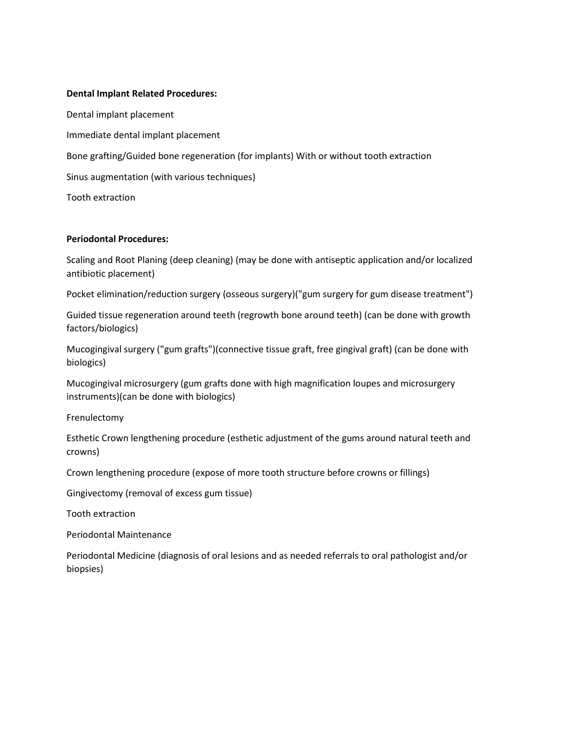## Dental Implant Related Procedures:

Dental implant placement Immediate dental implant placement Bone grafting/Guided bone regeneration (for implants) With or without tooth extraction Sinus augmentation (with various techniques) Tooth extraction

## Periodontal Procedures:

Scaling and Root Planing (deep cleaning) (may be done with antiseptic application and/or localized antibiotic placement)

Pocket elimination/reduction surgery (osseous surgery)("gum surgery for gum disease treatment")

Guided tissue regeneration around teeth (regrowth bone around teeth) (can be done with growth factors/biologics)

Mucogingival surgery ("gum grafts")(connective tissue graft, free gingival graft) (can be done with biologics)

Mucogingival microsurgery (gum grafts done with high magnification loupes and microsurgery instruments)(can be done with biologics)

Frenulectomy

Esthetic Crown lengthening procedure (esthetic adjustment of the gums around natural teeth and crowns)

Crown lengthening procedure (expose of more tooth structure before crowns or fillings)

Gingivectomy (removal of excess gum tissue)

Tooth extraction

Periodontal Maintenance

Periodontal Medicine (diagnosis of oral lesions and as needed referrals to oral pathologist and/or biopsies)